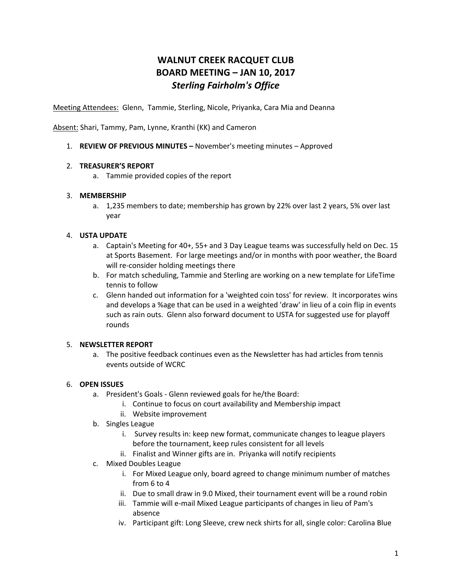# **WALNUT CREEK RACQUET CLUB BOARD MEETING – JAN 10, 2017** *Sterling Fairholm's Office*

Meeting Attendees: Glenn, Tammie, Sterling, Nicole, Priyanka, Cara Mia and Deanna

Absent: Shari, Tammy, Pam, Lynne, Kranthi (KK) and Cameron

1. **REVIEW OF PREVIOUS MINUTES –** November's meeting minutes – Approved

### 2. **TREASURER'S REPORT**

a. Tammie provided copies of the report

### 3. **MEMBERSHIP**

a. 1,235 members to date; membership has grown by 22% over last 2 years, 5% over last year

### 4. **USTA UPDATE**

- a. Captain's Meeting for 40+, 55+ and 3 Day League teams was successfully held on Dec. 15 at Sports Basement. For large meetings and/or in months with poor weather, the Board will re-consider holding meetings there
- b. For match scheduling, Tammie and Sterling are working on a new template for LifeTime tennis to follow
- c. Glenn handed out information for a 'weighted coin toss' for review. It incorporates wins and develops a %age that can be used in a weighted 'draw' in lieu of a coin flip in events such as rain outs. Glenn also forward document to USTA for suggested use for playoff rounds

# 5. **NEWSLETTER REPORT**

a. The positive feedback continues even as the Newsletter has had articles from tennis events outside of WCRC

# 6. **OPEN ISSUES**

- a. President's Goals Glenn reviewed goals for he/the Board:
	- i. Continue to focus on court availability and Membership impact
	- ii. Website improvement
- b. Singles League
	- i. Survey results in: keep new format, communicate changes to league players before the tournament, keep rules consistent for all levels
	- ii. Finalist and Winner gifts are in. Priyanka will notify recipients
- c. Mixed Doubles League
	- i. For Mixed League only, board agreed to change minimum number of matches from 6 to 4
	- ii. Due to small draw in 9.0 Mixed, their tournament event will be a round robin
	- iii. Tammie will e-mail Mixed League participants of changes in lieu of Pam's absence
	- iv. Participant gift: Long Sleeve, crew neck shirts for all, single color: Carolina Blue